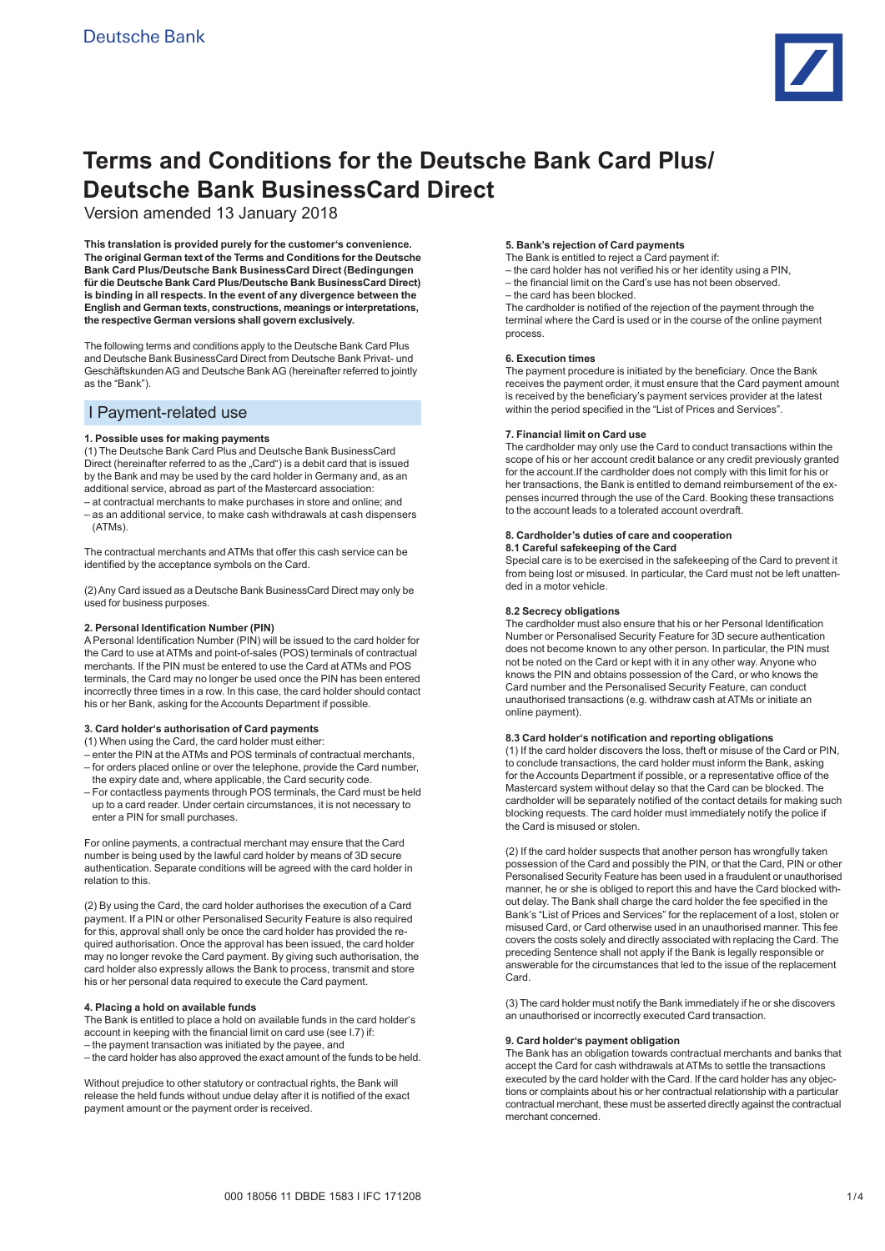

# **Terms and Conditions for the Deutsche Bank Card Plus/ Deutsche Bank BusinessCard Direct**

Version amended 13 January 2018

**This translation is provided purely for the customer's convenience. The original German text of the Terms and Conditions for the Deutsche Bank Card Plus/Deutsche Bank BusinessCard Direct (Bedingungen für die Deutsche Bank Card Plus/Deutsche Bank BusinessCard Direct) is binding in all respects. In the event of any divergence between the English and German texts, constructions, meanings or interpretations, the respective German versions shall govern exclusively.**

The following terms and conditions apply to the Deutsche Bank Card Plus and Deutsche Bank BusinessCard Direct from Deutsche Bank Privat- und Geschäftskunden AG and Deutsche Bank AG (hereinafter referred to jointly as the "Bank").

# I Payment-related use

## **1. Possible uses for making payments**

(1) The Deutsche Bank Card Plus and Deutsche Bank BusinessCard Direct (hereinafter referred to as the "Card") is a debit card that is issued by the Bank and may be used by the card holder in Germany and, as an additional service, abroad as part of the Mastercard association:

– at contractual merchants to make purchases in store and online; and – as an additional service, to make cash withdrawals at cash dispensers (ATMs).

The contractual merchants and ATMs that offer this cash service can be identified by the acceptance symbols on the Card.

(2) Any Card issued as a Deutsche Bank BusinessCard Direct may only be used for business purposes.

## **2. Personal Identification Number (PIN)**

A Personal Identification Number (PIN) will be issued to the card holder for the Card to use at ATMs and point-of-sales (POS) terminals of contractual merchants. If the PIN must be entered to use the Card at ATMs and POS terminals, the Card may no longer be used once the PIN has been entered incorrectly three times in a row. In this case, the card holder should contact his or her Bank, asking for the Accounts Department if possible.

## **3. Card holder's authorisation of Card payments**

(1) When using the Card, the card holder must either:

- enter the PIN at the ATMs and POS terminals of contractual merchants, – for orders placed online or over the telephone, provide the Card number, the expiry date and, where applicable, the Card security code.
- For contactless payments through POS terminals, the Card must be held up to a card reader. Under certain circumstances, it is not necessary to enter a PIN for small purchases.

For online payments, a contractual merchant may ensure that the Card number is being used by the lawful card holder by means of 3D secure authentication. Separate conditions will be agreed with the card holder in relation to this.

(2) By using the Card, the card holder authorises the execution of a Card payment. If a PIN or other Personalised Security Feature is also required for this, approval shall only be once the card holder has provided the required authorisation. Once the approval has been issued, the card holder may no longer revoke the Card payment. By giving such authorisation, the card holder also expressly allows the Bank to process, transmit and store his or her personal data required to execute the Card payment.

#### **4. Placing a hold on available funds**

The Bank is entitled to place a hold on available funds in the card holder's account in keeping with the financial limit on card use (see I.7) if: – the payment transaction was initiated by the payee, and – the card holder has also approved the exact amount of the funds to be held.

Without prejudice to other statutory or contractual rights, the Bank will release the held funds without undue delay after it is notified of the exact payment amount or the payment order is received.

## **5. Bank's rejection of Card payments**

The Bank is entitled to reject a Card payment if:

– the card holder has not verified his or her identity using a PIN,

- the financial limit on the Card's use has not been observed.
- the card has been blocked.

The cardholder is notified of the rejection of the payment through the terminal where the Card is used or in the course of the online payment process.

## **6. Execution times**

The payment procedure is initiated by the beneficiary. Once the Bank receives the payment order, it must ensure that the Card payment amount is received by the beneficiary's payment services provider at the latest within the period specified in the "List of Prices and Services".

## **7. Financial limit on Card use**

The cardholder may only use the Card to conduct transactions within the scope of his or her account credit balance or any credit previously granted for the account.If the cardholder does not comply with this limit for his or her transactions, the Bank is entitled to demand reimbursement of the expenses incurred through the use of the Card. Booking these transactions to the account leads to a tolerated account overdraft.

#### **8. Cardholder's duties of care and cooperation 8.1 Careful safekeeping of the Card**

Special care is to be exercised in the safekeeping of the Card to prevent it from being lost or misused. In particular, the Card must not be left unattended in a motor vehicle.

## **8.2 Secrecy obligations**

The cardholder must also ensure that his or her Personal Identification Number or Personalised Security Feature for 3D secure authentication does not become known to any other person. In particular, the PIN must not be noted on the Card or kept with it in any other way. Anyone who knows the PIN and obtains possession of the Card, or who knows the Card number and the Personalised Security Feature, can conduct unauthorised transactions (e.g. withdraw cash at ATMs or initiate an online payment).

### **8.3 Card holder's notification and reporting obligations**

(1) If the card holder discovers the loss, theft or misuse of the Card or PIN, to conclude transactions, the card holder must inform the Bank, asking for the Accounts Department if possible, or a representative office of the Mastercard system without delay so that the Card can be blocked. The cardholder will be separately notified of the contact details for making such blocking requests. The card holder must immediately notify the police if the Card is misused or stolen.

(2) If the card holder suspects that another person has wrongfully taken possession of the Card and possibly the PIN, or that the Card, PIN or other Personalised Security Feature has been used in a fraudulent or unauthorised manner, he or she is obliged to report this and have the Card blocked without delay. The Bank shall charge the card holder the fee specified in the Bank's "List of Prices and Services" for the replacement of a lost, stolen or misused Card, or Card otherwise used in an unauthorised manner. This fee covers the costs solely and directly associated with replacing the Card. The preceding Sentence shall not apply if the Bank is legally responsible or answerable for the circumstances that led to the issue of the replacement Card.

(3) The card holder must notify the Bank immediately if he or she discovers an unauthorised or incorrectly executed Card transaction.

## **9. Card holder's payment obligation**

The Bank has an obligation towards contractual merchants and banks that accept the Card for cash withdrawals at ATMs to settle the transactions executed by the card holder with the Card. If the card holder has any objections or complaints about his or her contractual relationship with a particular contractual merchant, these must be asserted directly against the contractual merchant concerned.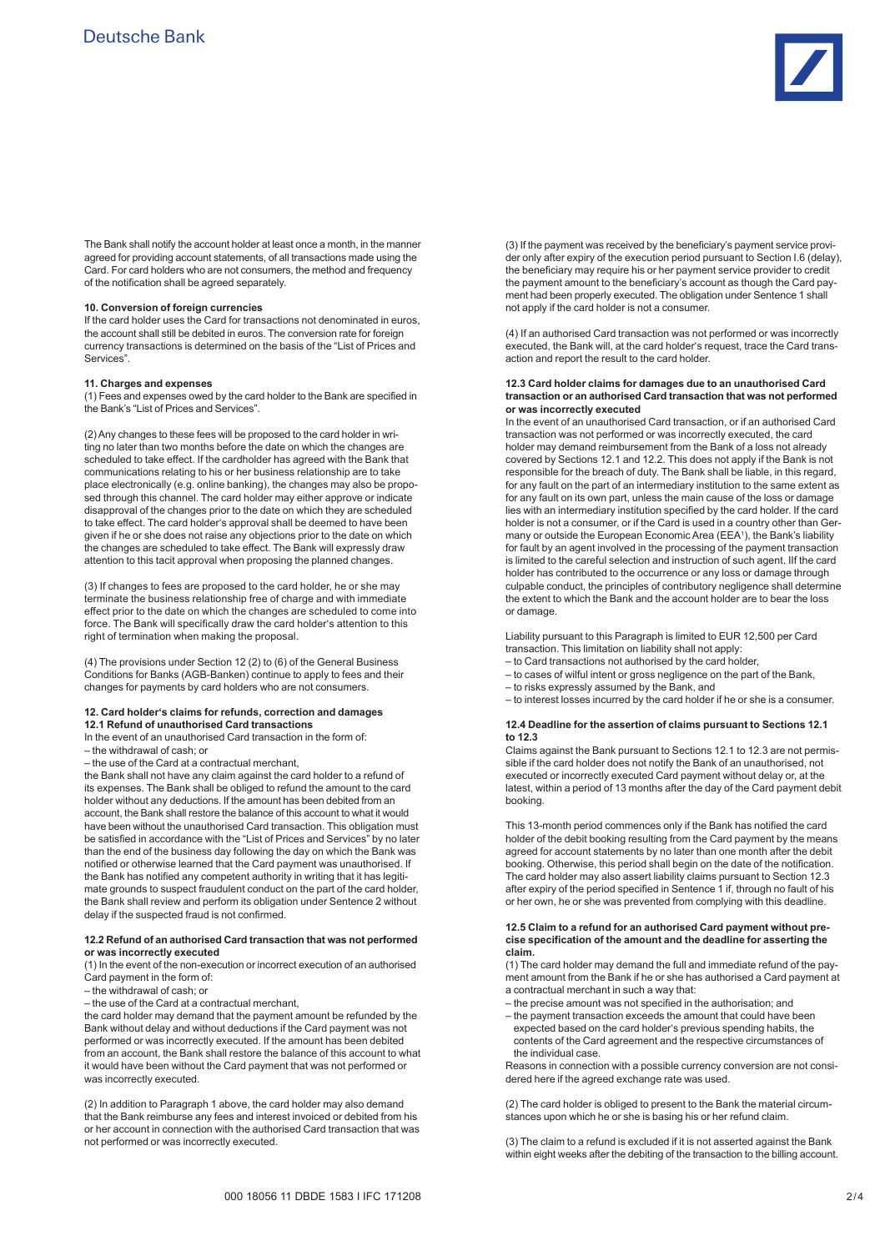

The Bank shall notify the account holder at least once a month, in the manner agreed for providing account statements, of all transactions made using the Card. For card holders who are not consumers, the method and frequency of the notification shall be agreed separately.

#### **10. Conversion of foreign currencies**

If the card holder uses the Card for transactions not denominated in euros, the account shall still be debited in euros. The conversion rate for foreign currency transactions is determined on the basis of the "List of Prices and Services".

## **11. Charges and expenses**

(1) Fees and expenses owed by the card holder to the Bank are specified in the Bank's "List of Prices and Services".

(2) Any changes to these fees will be proposed to the card holder in writing no later than two months before the date on which the changes are scheduled to take effect. If the cardholder has agreed with the Bank that communications relating to his or her business relationship are to take place electronically (e.g. online banking), the changes may also be proposed through this channel. The card holder may either approve or indicate disapproval of the changes prior to the date on which they are scheduled to take effect. The card holder's approval shall be deemed to have been given if he or she does not raise any objections prior to the date on which the changes are scheduled to take effect. The Bank will expressly draw attention to this tacit approval when proposing the planned changes.

(3) If changes to fees are proposed to the card holder, he or she may terminate the business relationship free of charge and with immediate effect prior to the date on which the changes are scheduled to come into force. The Bank will specifically draw the card holder's attention to this right of termination when making the proposal.

(4) The provisions under Section 12 (2) to (6) of the General Business Conditions for Banks (AGB-Banken) continue to apply to fees and their changes for payments by card holders who are not consumers.

#### **12. Card holder's claims for refunds, correction and damages 12.1 Refund of unauthorised Card transactions**

In the event of an unauthorised Card transaction in the form of:

– the withdrawal of cash; or

– the use of the Card at a contractual merchant,

the Bank shall not have any claim against the card holder to a refund of its expenses. The Bank shall be obliged to refund the amount to the card holder without any deductions. If the amount has been debited from an account, the Bank shall restore the balance of this account to what it would have been without the unauthorised Card transaction. This obligation must be satisfied in accordance with the "List of Prices and Services" by no later than the end of the business day following the day on which the Bank was notified or otherwise learned that the Card payment was unauthorised. If the Bank has notified any competent authority in writing that it has legitimate grounds to suspect fraudulent conduct on the part of the card holder. the Bank shall review and perform its obligation under Sentence 2 without delay if the suspected fraud is not confirmed.

#### **12.2 Refund of an authorised Card transaction that was not performed or was incorrectly executed**

(1) In the event of the non-execution or incorrect execution of an authorised Card payment in the form of:

– the withdrawal of cash; or

– the use of the Card at a contractual merchant,

the card holder may demand that the payment amount be refunded by the Bank without delay and without deductions if the Card payment was not performed or was incorrectly executed. If the amount has been debited from an account, the Bank shall restore the balance of this account to what it would have been without the Card payment that was not performed or was incorrectly executed.

(2) In addition to Paragraph 1 above, the card holder may also demand that the Bank reimburse any fees and interest invoiced or debited from his or her account in connection with the authorised Card transaction that was not performed or was incorrectly executed.

(3) If the payment was received by the beneficiary's payment service provider only after expiry of the execution period pursuant to Section I.6 (delay), the beneficiary may require his or her payment service provider to credit the payment amount to the beneficiary's account as though the Card payment had been properly executed. The obligation under Sentence 1 shall not apply if the card holder is not a consumer.

(4) If an authorised Card transaction was not performed or was incorrectly executed, the Bank will, at the card holder's request, trace the Card transaction and report the result to the card holder.

#### **12.3 Card holder claims for damages due to an unauthorised Card transaction or an authorised Card transaction that was not performed or was incorrectly executed**

In the event of an unauthorised Card transaction, or if an authorised Card transaction was not performed or was incorrectly executed, the card holder may demand reimbursement from the Bank of a loss not already covered by Sections 12.1 and 12.2. This does not apply if the Bank is not responsible for the breach of duty. The Bank shall be liable, in this regard, for any fault on the part of an intermediary institution to the same extent as for any fault on its own part, unless the main cause of the loss or damage lies with an intermediary institution specified by the card holder. If the card holder is not a consumer, or if the Card is used in a country other than Germany or outside the European Economic Area (EEA<sup>1</sup>), the Bank's liability for fault by an agent involved in the processing of the payment transaction is limited to the careful selection and instruction of such agent. IIf the card holder has contributed to the occurrence or any loss or damage through culpable conduct, the principles of contributory negligence shall determine the extent to which the Bank and the account holder are to bear the loss or damage.

Liability pursuant to this Paragraph is limited to EUR 12,500 per Card transaction. This limitation on liability shall not apply:

- to Card transactions not authorised by the card holder,
- to cases of wilful intent or gross negligence on the part of the Bank,
- to risks expressly assumed by the Bank, and
- to interest losses incurred by the card holder if he or she is a consumer.

#### **12.4 Deadline for the assertion of claims pursuant to Sections 12.1 to 12.3**

Claims against the Bank pursuant to Sections 12.1 to 12.3 are not permissible if the card holder does not notify the Bank of an unauthorised, not executed or incorrectly executed Card payment without delay or, at the latest, within a period of 13 months after the day of the Card payment debit booking.

This 13-month period commences only if the Bank has notified the card holder of the debit booking resulting from the Card payment by the means agreed for account statements by no later than one month after the debit booking. Otherwise, this period shall begin on the date of the notification. The card holder may also assert liability claims pursuant to Section 12.3 after expiry of the period specified in Sentence 1 if, through no fault of his or her own, he or she was prevented from complying with this deadline.

#### **12.5 Claim to a refund for an authorised Card payment without precise specification of the amount and the deadline for asserting the claim.**

(1) The card holder may demand the full and immediate refund of the payment amount from the Bank if he or she has authorised a Card payment at a contractual merchant in such a way that:

- the precise amount was not specified in the authorisation; and
- the payment transaction exceeds the amount that could have been expected based on the card holder's previous spending habits, the contents of the Card agreement and the respective circumstances of the individual case.

Reasons in connection with a possible currency conversion are not considered here if the agreed exchange rate was used.

(2) The card holder is obliged to present to the Bank the material circumstances upon which he or she is basing his or her refund claim.

(3) The claim to a refund is excluded if it is not asserted against the Bank within eight weeks after the debiting of the transaction to the billing account.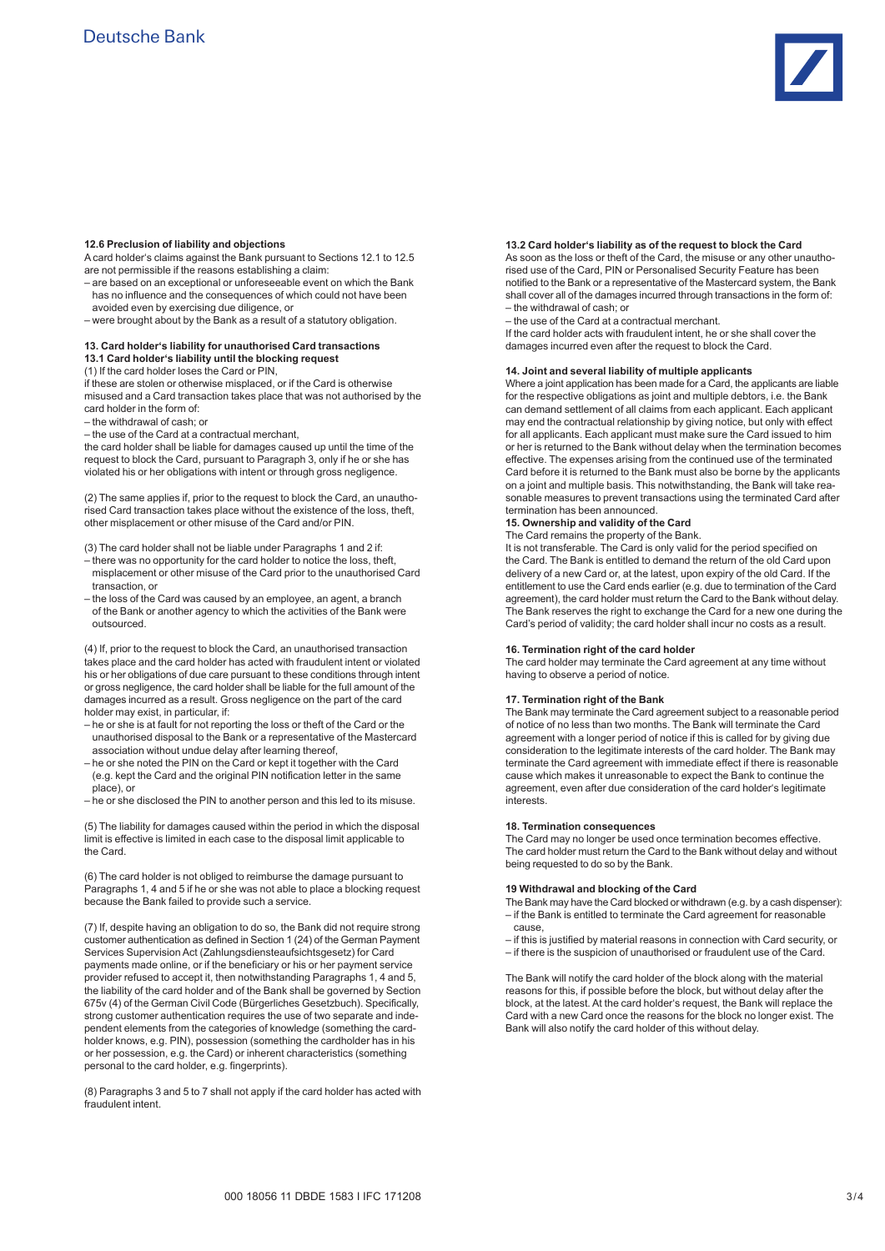

#### **12.6 Preclusion of liability and objections**

A card holder's claims against the Bank pursuant to Sections 12.1 to 12.5 are not permissible if the reasons establishing a claim:

- are based on an exceptional or unforeseeable event on which the Bank has no influence and the consequences of which could not have been avoided even by exercising due diligence, or
- were brought about by the Bank as a result of a statutory obligation.

#### **13. Card holder's liability for unauthorised Card transactions 13.1 Card holder's liability until the blocking request**

(1) If the card holder loses the Card or PIN,

if these are stolen or otherwise misplaced, or if the Card is otherwise misused and a Card transaction takes place that was not authorised by the card holder in the form of:

– the withdrawal of cash; or

– the use of the Card at a contractual merchant,

the card holder shall be liable for damages caused up until the time of the request to block the Card, pursuant to Paragraph 3, only if he or she has violated his or her obligations with intent or through gross negligence.

(2) The same applies if, prior to the request to block the Card, an unauthorised Card transaction takes place without the existence of the loss, theft, other misplacement or other misuse of the Card and/or PIN.

(3) The card holder shall not be liable under Paragraphs 1 and 2 if:

- there was no opportunity for the card holder to notice the loss, theft, misplacement or other misuse of the Card prior to the unauthorised Card transaction, or
- the loss of the Card was caused by an employee, an agent, a branch of the Bank or another agency to which the activities of the Bank were outsourced.

(4) If, prior to the request to block the Card, an unauthorised transaction takes place and the card holder has acted with fraudulent intent or violated his or her obligations of due care pursuant to these conditions through intent or gross negligence, the card holder shall be liable for the full amount of the damages incurred as a result. Gross negligence on the part of the card holder may exist, in particular, if:

- he or she is at fault for not reporting the loss or theft of the Card or the unauthorised disposal to the Bank or a representative of the Mastercard association without undue delay after learning thereof,
- he or she noted the PIN on the Card or kept it together with the Card (e.g. kept the Card and the original PIN notification letter in the same place), or
- he or she disclosed the PIN to another person and this led to its misuse.

(5) The liability for damages caused within the period in which the disposal limit is effective is limited in each case to the disposal limit applicable to the Card.

(6) The card holder is not obliged to reimburse the damage pursuant to Paragraphs 1, 4 and 5 if he or she was not able to place a blocking request because the Bank failed to provide such a service.

(7) If, despite having an obligation to do so, the Bank did not require strong customer authentication as defined in Section 1 (24) of the German Payment Services Supervision Act (Zahlungsdiensteaufsichtsgesetz) for Card payments made online, or if the beneficiary or his or her payment service provider refused to accept it, then notwithstanding Paragraphs 1, 4 and 5, the liability of the card holder and of the Bank shall be governed by Section 675v (4) of the German Civil Code (Bürgerliches Gesetzbuch). Specifically, strong customer authentication requires the use of two separate and independent elements from the categories of knowledge (something the cardholder knows, e.g. PIN), possession (something the cardholder has in his or her possession, e.g. the Card) or inherent characteristics (something personal to the card holder, e.g. fingerprints).

(8) Paragraphs 3 and 5 to 7 shall not apply if the card holder has acted with fraudulent intent.

#### **13.2 Card holder's liability as of the request to block the Card**

As soon as the loss or theft of the Card, the misuse or any other unauthorised use of the Card, PIN or Personalised Security Feature has been notified to the Bank or a representative of the Mastercard system, the Bank shall cover all of the damages incurred through transactions in the form of: – the withdrawal of cash; or

– the use of the Card at a contractual merchant.

If the card holder acts with fraudulent intent, he or she shall cover the damages incurred even after the request to block the Card.

#### **14. Joint and several liability of multiple applicants**

Where a joint application has been made for a Card, the applicants are liable for the respective obligations as joint and multiple debtors, i.e. the Bank can demand settlement of all claims from each applicant. Each applicant may end the contractual relationship by giving notice, but only with effect for all applicants. Each applicant must make sure the Card issued to him or her is returned to the Bank without delay when the termination becomes effective. The expenses arising from the continued use of the terminated Card before it is returned to the Bank must also be borne by the applicants on a joint and multiple basis. This notwithstanding, the Bank will take reasonable measures to prevent transactions using the terminated Card after termination has been announced.

#### **15. Ownership and validity of the Card**

The Card remains the property of the Bank.

It is not transferable. The Card is only valid for the period specified on the Card. The Bank is entitled to demand the return of the old Card upon delivery of a new Card or, at the latest, upon expiry of the old Card. If the entitlement to use the Card ends earlier (e.g. due to termination of the Card agreement), the card holder must return the Card to the Bank without delay. The Bank reserves the right to exchange the Card for a new one during the Card's period of validity; the card holder shall incur no costs as a result.

#### **16. Termination right of the card holder**

The card holder may terminate the Card agreement at any time without having to observe a period of notice.

#### **17. Termination right of the Bank**

The Bank may terminate the Card agreement subject to a reasonable period of notice of no less than two months. The Bank will terminate the Card agreement with a longer period of notice if this is called for by giving due consideration to the legitimate interests of the card holder. The Bank may terminate the Card agreement with immediate effect if there is reasonable cause which makes it unreasonable to expect the Bank to continue the agreement, even after due consideration of the card holder's legitimate interests.

#### **18. Termination consequences**

The Card may no longer be used once termination becomes effective. The card holder must return the Card to the Bank without delay and without being requested to do so by the Bank.

## **19 Withdrawal and blocking of the Card**

- The Bank may have the Card blocked or withdrawn (e.g. by a cash dispenser): – if the Bank is entitled to terminate the Card agreement for reasonable cause,
- if this is justified by material reasons in connection with Card security, or
- if there is the suspicion of unauthorised or fraudulent use of the Card.

The Bank will notify the card holder of the block along with the material reasons for this, if possible before the block, but without delay after the block, at the latest. At the card holder's request, the Bank will replace the Card with a new Card once the reasons for the block no longer exist. The Bank will also notify the card holder of this without delay.